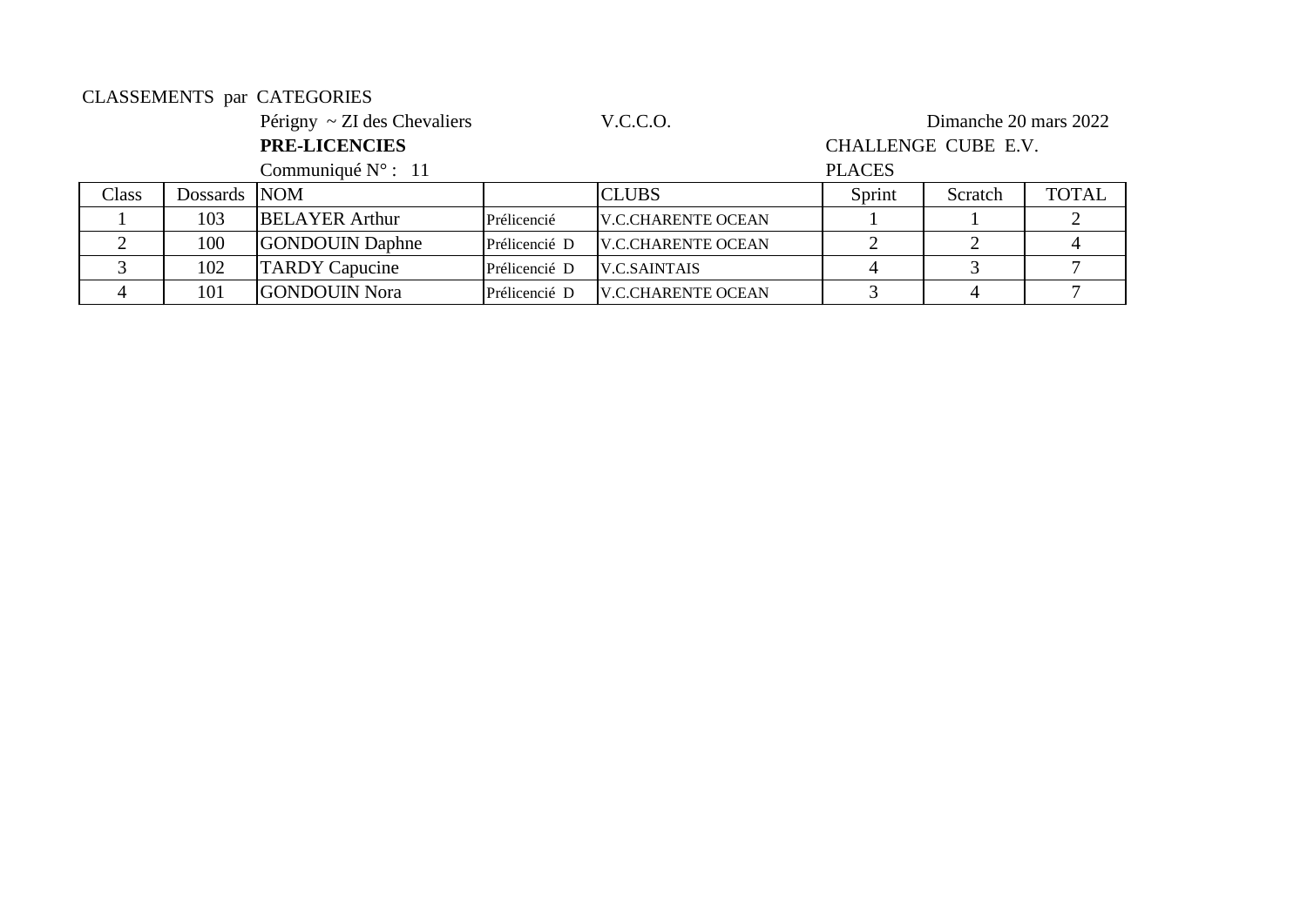#### CLASSEMENTS par CATEGORIES

Périgny ~ ZI des Chevaliers V.C.C.O. Dimanche 20 mars 2022

3 | 102 | TARDY Capucine Prélicencié D | V.C.SAINTAIS | 4 | 3 | 7 4 101 GONDOUIN Nora Prélicencié D V.C.CHARENTE OCEAN 3 4 7

## **PRE-LICENCIES** CHALLENGE CUBE E.V.

Communiqué N° : 11 PLACES Class Dossards NOM CLUBS Sprint Scratch TOTAL 1 103 BELAYER Arthur Prélicencié V.C.CHARENTE OCEAN 1 1 2 2 | 100 GONDOUIN Daphne Prélicencié D V.C.CHARENTE OCEAN | 2 | 2 | 4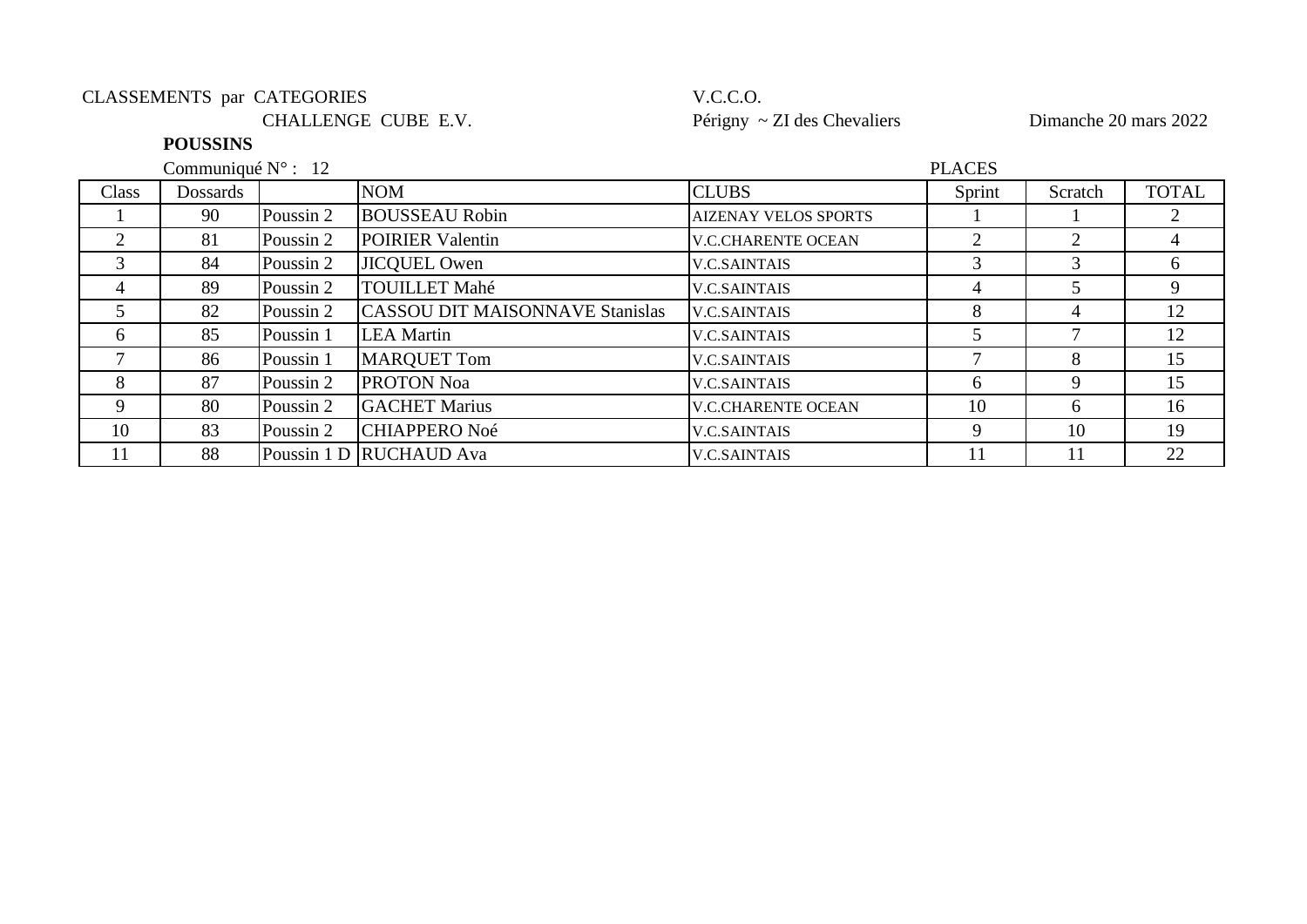### CLASSEMENTS par CATEGORIES V.C.C.O.

CHALLENGE CUBE E.V. Périgny ~ ZI des Chevaliers Dimanche 20 mars 2022

### **POUSSINS**

Communiqué N° : 12

| Class          | <b>Dossards</b> |           | <b>NOM</b>                             | <b>CLUBS</b>                | Sprint         | Scratch | <b>TOTAL</b> |
|----------------|-----------------|-----------|----------------------------------------|-----------------------------|----------------|---------|--------------|
|                | 90              | Poussin 2 | <b>BOUSSEAU Robin</b>                  | <b>AIZENAY VELOS SPORTS</b> |                |         |              |
| $\overline{2}$ | 81              | Poussin 2 | <b>POIRIER Valentin</b>                | <b>V.C.CHARENTE OCEAN</b>   | $\overline{2}$ |         |              |
| 3              | 84              | Poussin 2 | <b>JICQUEL Owen</b>                    | <b>V.C.SAINTAIS</b>         |                |         | 6            |
| $\overline{4}$ | 89              | Poussin 2 | <b>TOUILLET Mahé</b>                   | <b>V.C.SAINTAIS</b>         |                |         | 9            |
|                | 82              | Poussin 2 | <b>CASSOU DIT MAISONNAVE Stanislas</b> | <b>V.C.SAINTAIS</b>         | 8              |         | 12           |
| 6              | 85              | Poussin 1 | <b>LEA</b> Martin                      | <b>V.C.SAINTAIS</b>         |                |         | 12           |
|                | 86              | Poussin 1 | <b>MARQUET Tom</b>                     | <b>V.C.SAINTAIS</b>         |                | 8       | 15           |
| 8              | 87              | Poussin 2 | <b>PROTON Noa</b>                      | <b>V.C.SAINTAIS</b>         | 6              |         | 15           |
| 9              | 80              | Poussin 2 | <b>GACHET Marius</b>                   | <b>V.C.CHARENTE OCEAN</b>   | 10             | h       | 16           |
| 10             | 83              | Poussin 2 | <b>CHIAPPERO Noé</b>                   | <b>V.C.SAINTAIS</b>         | 9              | 10      | 19           |
| 11             | 88              |           | Poussin 1 D RUCHAUD Ava                | <b>V.C.SAINTAIS</b>         |                |         | 22           |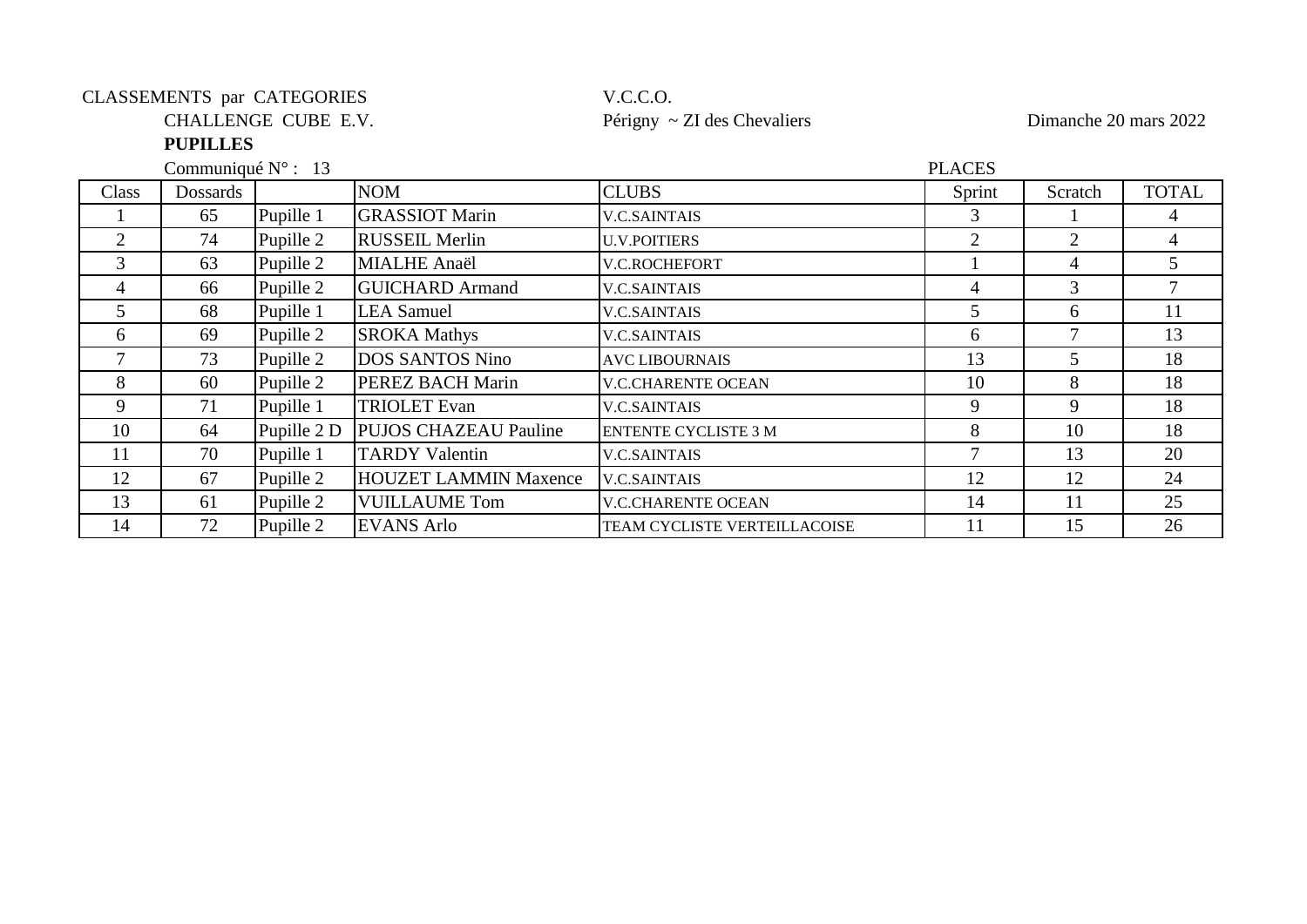### CLASSEMENTS par CATEGORIES V.C.C.O.

#### **PUPILLES**

Communiqué N° : 13

# CHALLENGE CUBE E.V. Périgny ~ ZI des Chevaliers Dimanche 20 mars 2022

| <b>CLUBS</b><br><b>NOM</b><br>Sprint<br>Class<br>Dossards                                   | Scratch | <b>TOTAL</b> |
|---------------------------------------------------------------------------------------------|---------|--------------|
|                                                                                             |         |              |
| <b>GRASSIOT Marin</b><br>Pupille 1<br>65<br><b>V.C.SAINTAIS</b>                             |         |              |
| Pupille 2<br>74<br><b>RUSSEIL Merlin</b><br>2<br><b>U.V.POITIERS</b>                        |         | 4            |
| Pupille 2<br>3<br><b>MIALHE Anaël</b><br>63<br>V.C.ROCHEFORT                                | 4       |              |
| Pupille 2<br><b>GUICHARD</b> Armand<br>66<br>4<br><b>V.C.SAINTAIS</b><br>4                  | 3       |              |
| Pupille 1<br><b>LEA</b> Samuel<br>5<br>68<br>5<br><b>V.C.SAINTAIS</b>                       | 6       | 11           |
| Pupille 2<br><b>SROKA Mathys</b><br>69<br><b>V.C.SAINTAIS</b><br>6<br>6                     |         | 13           |
| <b>DOS SANTOS Nino</b><br>73<br>Pupille 2<br>13<br><b>AVC LIBOURNAIS</b>                    | 5       | 18           |
| Pupille 2<br>8<br>PEREZ BACH Marin<br>60<br>10<br><b>V.C.CHARENTE OCEAN</b>                 | 8       | 18           |
| Pupille 1<br><b>TRIOLET</b> Evan<br>9<br>71<br>9<br><b>V.C.SAINTAIS</b>                     | 9       | 18           |
| Pupille 2 D<br><b>PUJOS CHAZEAU Pauline</b><br>10<br>8<br>64<br><b>ENTENTE CYCLISTE 3 M</b> | 10      | 18           |
| 70<br>Pupille 1<br><b>TARDY Valentin</b><br>11<br><b>V.C.SAINTAIS</b>                       | 13      | 20           |
| Pupille 2<br><b>HOUZET LAMMIN Maxence</b><br>12<br>67<br>12<br><b>V.C.SAINTAIS</b>          | 12      | 24           |
| Pupille 2<br>13<br><b>VUILLAUME Tom</b><br>61<br><b>V.C.CHARENTE OCEAN</b><br>14            | 11      | 25           |
| Pupille 2<br>72<br><b>EVANS Arlo</b><br>14<br>11<br>TEAM CYCLISTE VERTEILLACOISE            | 15      | 26           |